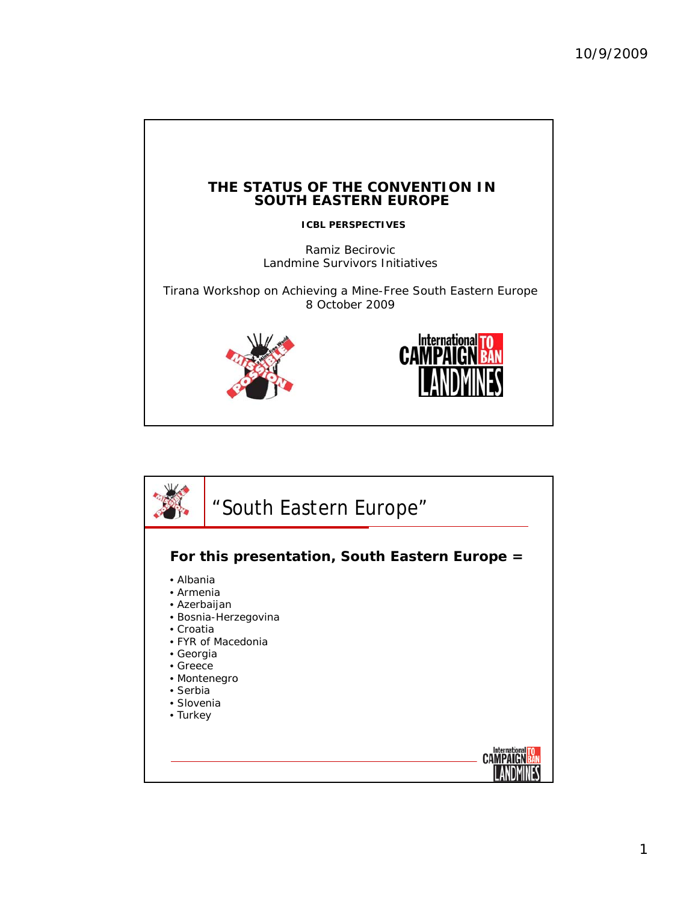

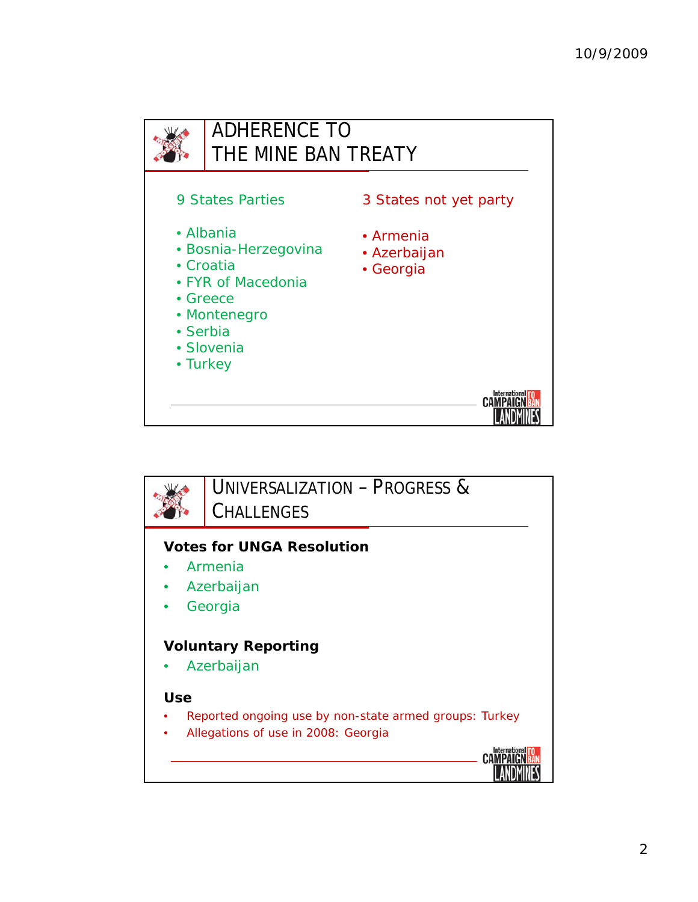

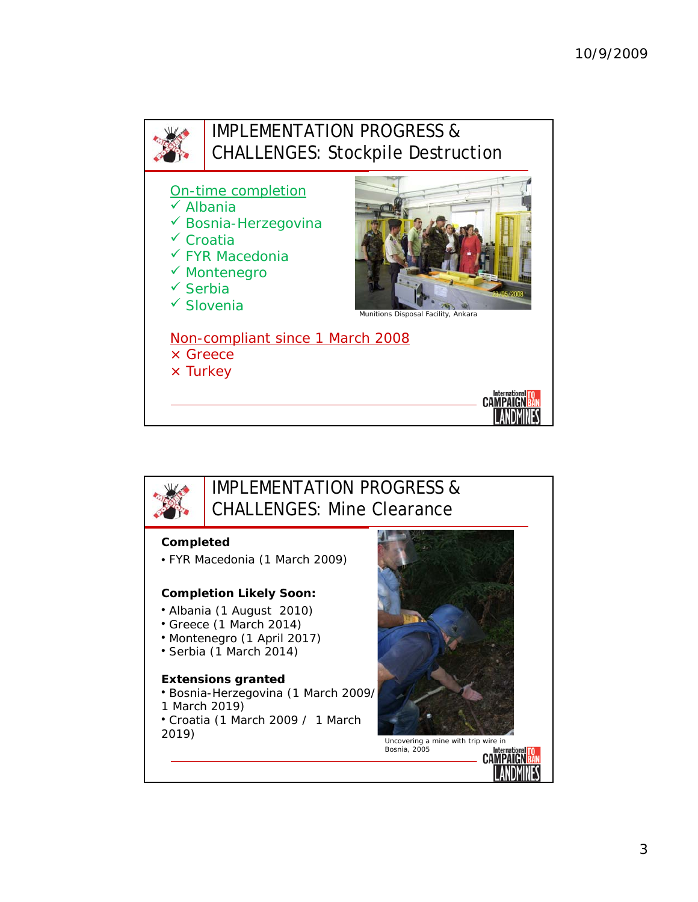



## IMPLEMENTATION PROGRESS & CHALLENGES: Mine Clearance

## **Completed**

• FYR Macedonia (1 March 2009)

## **Completion Likely Soon:**

- Albania (1 August 2010)
- Greece (1 March 2014)
- Montenegro (1 April 2017)
- Serbia (1 March 2014)

## **Extensions granted**

- Bosnia-Herzegovina (1 March 2009/ 1 March 2019) • Croatia (1 March 2009 / 1 March
- 



**CAMPAIGN BAN**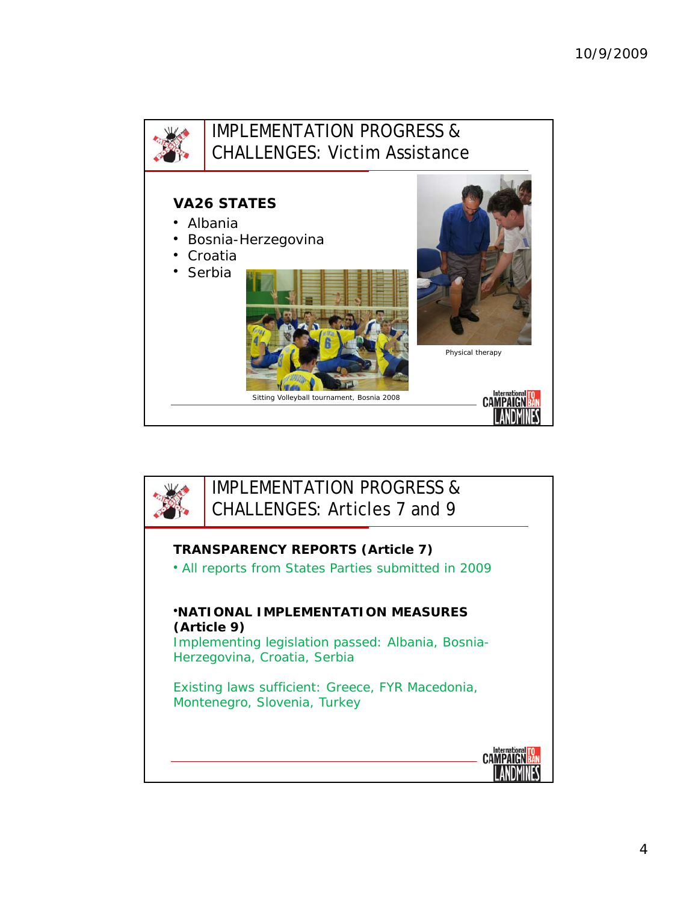